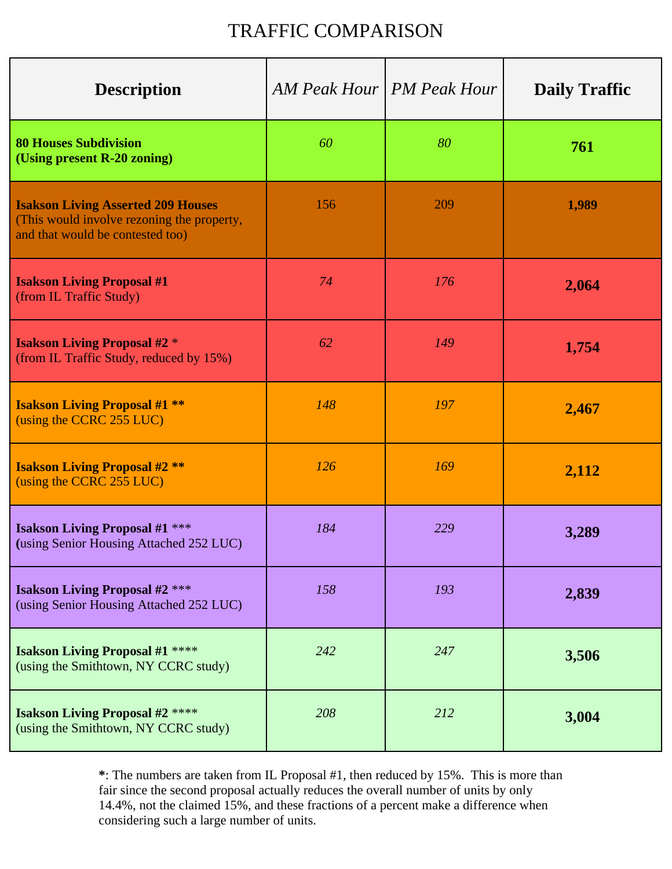## TRAFFIC COMPARISON

| <b>Description</b>                                                                                                          |     | AM Peak Hour   PM Peak Hour | <b>Daily Traffic</b> |
|-----------------------------------------------------------------------------------------------------------------------------|-----|-----------------------------|----------------------|
| <b>80 Houses Subdivision</b><br>(Using present R-20 zoning)                                                                 | 60  | 80                          | 761                  |
| <b>Isakson Living Asserted 209 Houses</b><br>(This would involve rezoning the property,<br>and that would be contested too) | 156 | 209                         | 1,989                |
| <b>Isakson Living Proposal #1</b><br>(from IL Traffic Study)                                                                | 74  | 176                         | 2,064                |
| <b>Isakson Living Proposal #2 *</b><br>(from IL Traffic Study, reduced by 15%)                                              | 62  | 149                         | 1,754                |
| <b>Isakson Living Proposal #1 **</b><br>(using the CCRC 255 LUC)                                                            | 148 | 197                         | 2,467                |
| <b>Isakson Living Proposal #2 **</b><br>(using the CCRC 255 LUC)                                                            | 126 | 169                         | 2,112                |
| <b>Isakson Living Proposal #1 ***</b><br>(using Senior Housing Attached 252 LUC)                                            | 184 | 229                         | 3,289                |
| <b>Isakson Living Proposal #2</b> ***<br>(using Senior Housing Attached 252 LUC)                                            | 158 | 193                         | 2,839                |
| <b>Isakson Living Proposal #1 ****</b><br>(using the Smithtown, NY CCRC study)                                              | 242 | 247                         | 3,506                |
| <b>Isakson Living Proposal #2 ****</b><br>(using the Smithtown, NY CCRC study)                                              | 208 | 212                         | 3,004                |

**\***: The numbers are taken from IL Proposal #1, then reduced by 15%. This is more than fair since the second proposal actually reduces the overall number of units by only 14.4%, not the claimed 15%, and these fractions of a percent make a difference when considering such a large number of units.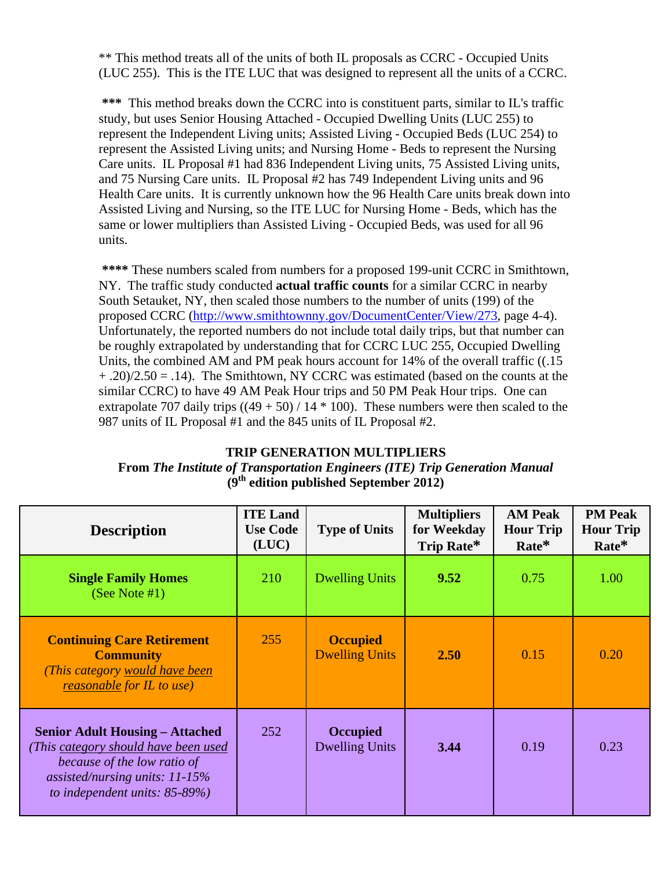\*\* This method treats all of the units of both IL proposals as CCRC - Occupied Units (LUC 255). This is the ITE LUC that was designed to represent all the units of a CCRC.

**\*\*\*** This method breaks down the CCRC into is constituent parts, similar to IL's traffic study, but uses Senior Housing Attached - Occupied Dwelling Units (LUC 255) to represent the Independent Living units; Assisted Living - Occupied Beds (LUC 254) to represent the Assisted Living units; and Nursing Home - Beds to represent the Nursing Care units. IL Proposal #1 had 836 Independent Living units, 75 Assisted Living units, and 75 Nursing Care units. IL Proposal #2 has 749 Independent Living units and 96 Health Care units. It is currently unknown how the 96 Health Care units break down into Assisted Living and Nursing, so the ITE LUC for Nursing Home - Beds, which has the same or lower multipliers than Assisted Living - Occupied Beds, was used for all 96 units.

**\*\*\*\*** These numbers scaled from numbers for a proposed 199-unit CCRC in Smithtown, NY. The traffic study conducted **actual traffic counts** for a similar CCRC in nearby South Setauket, NY, then scaled those numbers to the number of units (199) of the proposed CCRC (http://www.smithtownny.gov/DocumentCenter/View/273, page 4-4). Unfortunately, the reported numbers do not include total daily trips, but that number can be roughly extrapolated by understanding that for CCRC LUC 255, Occupied Dwelling Units, the combined AM and PM peak hours account for 14% of the overall traffic ((.15  $+$ .20)/2.50 = .14). The Smithtown, NY CCRC was estimated (based on the counts at the similar CCRC) to have 49 AM Peak Hour trips and 50 PM Peak Hour trips. One can extrapolate 707 daily trips  $((49 + 50) / 14 * 100)$ . These numbers were then scaled to the 987 units of IL Proposal #1 and the 845 units of IL Proposal #2.

## **TRIP GENERATION MULTIPLIERS From** *The Institute of Transportation Engineers (ITE) Trip Generation Manual* **(9th edition published September 2012)**

| <b>Description</b>                                                                                                                                                                    | <b>ITE Land</b><br><b>Use Code</b><br>(LUC) | <b>Type of Units</b>                     | <b>Multipliers</b><br>for Weekday<br>Trip Rate* | <b>AM Peak</b><br><b>Hour Trip</b><br>$Rate*$ | <b>PM Peak</b><br><b>Hour Trip</b><br>$Rate*$ |
|---------------------------------------------------------------------------------------------------------------------------------------------------------------------------------------|---------------------------------------------|------------------------------------------|-------------------------------------------------|-----------------------------------------------|-----------------------------------------------|
| <b>Single Family Homes</b><br>(See Note $#1$ )                                                                                                                                        | 210                                         | <b>Dwelling Units</b>                    | 9.52                                            | 0.75                                          | 1.00                                          |
| <b>Continuing Care Retirement</b><br><b>Community</b><br>(This category would have been<br><i>reasonable for IL to use</i> )                                                          | 255                                         | <b>Occupied</b><br><b>Dwelling Units</b> | 2.50                                            | 0.15                                          | 0.20                                          |
| <b>Senior Adult Housing – Attached</b><br>(This category should have been used<br>because of the low ratio of<br>assisted/nursing units: $11-15%$<br>to independent units: $85-89%$ ) | 252                                         | <b>Occupied</b><br><b>Dwelling Units</b> | 3.44                                            | 0.19                                          | 0.23                                          |